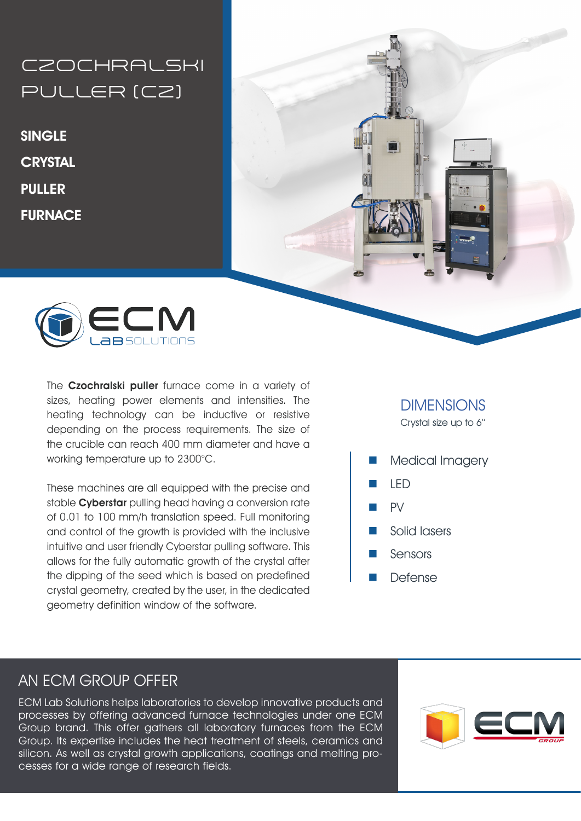**CZOCHRALSKI** PULLER (CZ)

**SINGLE CRYSTAL** PULLER **FURNACE** 





The Czochralski puller furnace come in a variety of sizes, heating power elements and intensities. The heating technology can be inductive or resistive depending on the process requirements. The size of the crucible can reach 400 mm diameter and have a working temperature up to 2300°C.

These machines are all equipped with the precise and stable **Cyberstar** pulling head having a conversion rate of 0.01 to 100 mm/h translation speed. Full monitoring and control of the growth is provided with the inclusive intuitive and user friendly Cyberstar pulling software. This allows for the fully automatic growth of the crystal after the dipping of the seed which is based on predefined crystal geometry, created by the user, in the dedicated geometry definition window of the software.

## **DIMENSIONS**

Crystal size up to 6''

- Medical Imagery
- n LED
- $PV$
- Solid lasers
- Sensors
- **Defense**

### AN ECM GROUP OFFER

ECM Lab Solutions helps laboratories to develop innovative products and processes by offering advanced furnace technologies under one ECM Group brand. This offer gathers all laboratory furnaces from the ECM Group. Its expertise includes the heat treatment of steels, ceramics and silicon. As well as crystal growth applications, coatings and melting processes for a wide range of research fields.